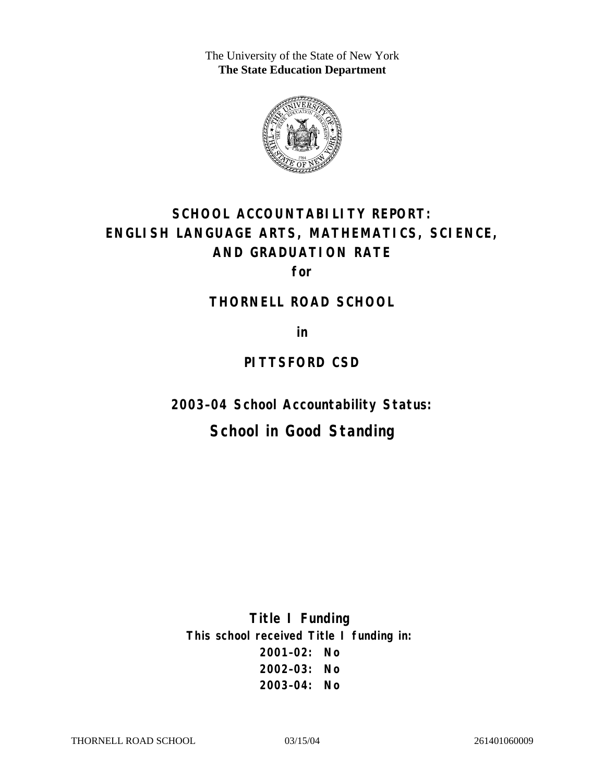The University of the State of New York **The State Education Department** 



# **SCHOOL ACCOUNTABILITY REPORT: ENGLISH LANGUAGE ARTS, MATHEMATICS, SCIENCE, AND GRADUATION RATE**

**for** 

#### **THORNELL ROAD SCHOOL**

**in** 

### **PITTSFORD CSD**

**2003–04 School Accountability Status:** 

# **School in Good Standing**

**Title I Funding This school received Title I funding in: 2001–02: No 2002–03: No 2003–04: No**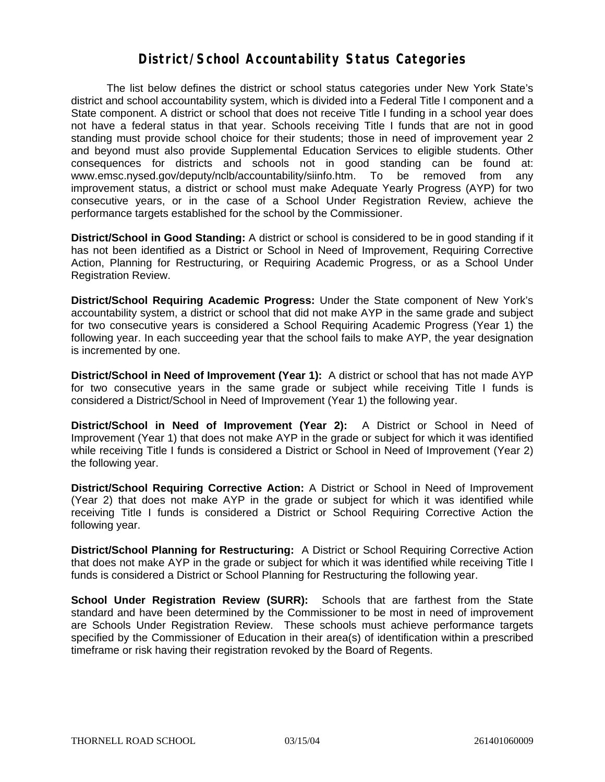#### **District/School Accountability Status Categories**

The list below defines the district or school status categories under New York State's district and school accountability system, which is divided into a Federal Title I component and a State component. A district or school that does not receive Title I funding in a school year does not have a federal status in that year. Schools receiving Title I funds that are not in good standing must provide school choice for their students; those in need of improvement year 2 and beyond must also provide Supplemental Education Services to eligible students. Other consequences for districts and schools not in good standing can be found at: www.emsc.nysed.gov/deputy/nclb/accountability/siinfo.htm. To be removed from any improvement status, a district or school must make Adequate Yearly Progress (AYP) for two consecutive years, or in the case of a School Under Registration Review, achieve the performance targets established for the school by the Commissioner.

**District/School in Good Standing:** A district or school is considered to be in good standing if it has not been identified as a District or School in Need of Improvement, Requiring Corrective Action, Planning for Restructuring, or Requiring Academic Progress, or as a School Under Registration Review.

**District/School Requiring Academic Progress:** Under the State component of New York's accountability system, a district or school that did not make AYP in the same grade and subject for two consecutive years is considered a School Requiring Academic Progress (Year 1) the following year. In each succeeding year that the school fails to make AYP, the year designation is incremented by one.

**District/School in Need of Improvement (Year 1):** A district or school that has not made AYP for two consecutive years in the same grade or subject while receiving Title I funds is considered a District/School in Need of Improvement (Year 1) the following year.

**District/School in Need of Improvement (Year 2):** A District or School in Need of Improvement (Year 1) that does not make AYP in the grade or subject for which it was identified while receiving Title I funds is considered a District or School in Need of Improvement (Year 2) the following year.

**District/School Requiring Corrective Action:** A District or School in Need of Improvement (Year 2) that does not make AYP in the grade or subject for which it was identified while receiving Title I funds is considered a District or School Requiring Corrective Action the following year.

**District/School Planning for Restructuring:** A District or School Requiring Corrective Action that does not make AYP in the grade or subject for which it was identified while receiving Title I funds is considered a District or School Planning for Restructuring the following year.

**School Under Registration Review (SURR):** Schools that are farthest from the State standard and have been determined by the Commissioner to be most in need of improvement are Schools Under Registration Review. These schools must achieve performance targets specified by the Commissioner of Education in their area(s) of identification within a prescribed timeframe or risk having their registration revoked by the Board of Regents.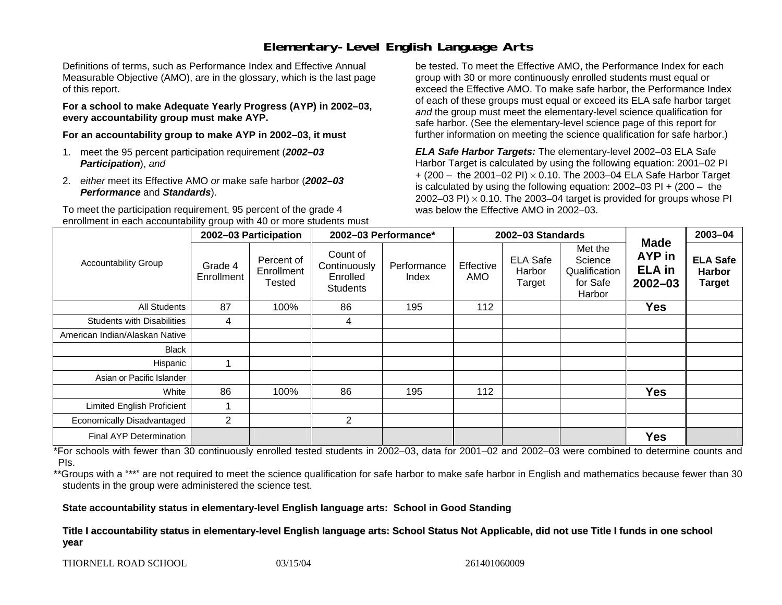# **Elementary-Level English Language Arts**

Definitions of terms, such as Performance Index and Effective Annual Measurable Objective (AMO), are in the glossary, which is the last page of this report.

**For a school to make Adequate Yearly Progress (AYP) in 2002–03, every accountability group must make AYP.** 

**For an accountability group to make AYP in 2002–03, it must** 

- 1. meet the 95 percent participation requirement (*2002–03 Participation*), *and*
- 2. *either* meet its Effective AMO *or* make safe harbor (*2002–03 Performance* and *Standards*).

To meet the participation requirement, 95 percent of the grade 4 enrollment in each accountability group with 40 or more students must

be tested. To meet the Effective AMO, the Performance Index for each group with 30 or more continuously enrolled students must equal or exceed the Effective AMO. To make safe harbor, the Performance Index of each of these groups must equal or exceed its ELA safe harbor target *and* the group must meet the elementary-level science qualification for safe harbor. (See the elementary-level science page of this report for further information on meeting the science qualification for safe harbor.)

*ELA Safe Harbor Targets:* The elementary-level 2002–03 ELA Safe Harbor Target is calculated by using the following equation: 2001–02 PI + (200 – the 2001–02 PI) <sup>×</sup> 0.10. The 2003–04 ELA Safe Harbor Target is calculated by using the following equation: 2002–03 PI + (200 – the 2002–03 PI)  $\times$  0.10. The 2003–04 target is provided for groups whose PI was below the Effective AMO in 2002–03.

| <b>Accountability Group</b>       | 2002-03 Participation |                                           | 2002-03 Performance*                                    |                      | 2002-03 Standards |                                     |                                                           |                                                       | 2003-04                                           |
|-----------------------------------|-----------------------|-------------------------------------------|---------------------------------------------------------|----------------------|-------------------|-------------------------------------|-----------------------------------------------------------|-------------------------------------------------------|---------------------------------------------------|
|                                   | Grade 4<br>Enrollment | Percent of<br>Enrollment<br><b>Tested</b> | Count of<br>Continuously<br>Enrolled<br><b>Students</b> | Performance<br>Index | Effective<br>AMO  | <b>ELA Safe</b><br>Harbor<br>Target | Met the<br>Science<br>Qualification<br>for Safe<br>Harbor | Made<br><b>AYP</b> in<br><b>ELA</b> in<br>$2002 - 03$ | <b>ELA Safe</b><br><b>Harbor</b><br><b>Target</b> |
| <b>All Students</b>               | 87                    | 100%                                      | 86                                                      | 195                  | 112               |                                     |                                                           | <b>Yes</b>                                            |                                                   |
| <b>Students with Disabilities</b> | 4                     |                                           | 4                                                       |                      |                   |                                     |                                                           |                                                       |                                                   |
| American Indian/Alaskan Native    |                       |                                           |                                                         |                      |                   |                                     |                                                           |                                                       |                                                   |
| Black                             |                       |                                           |                                                         |                      |                   |                                     |                                                           |                                                       |                                                   |
| Hispanic                          | ٠                     |                                           |                                                         |                      |                   |                                     |                                                           |                                                       |                                                   |
| Asian or Pacific Islander         |                       |                                           |                                                         |                      |                   |                                     |                                                           |                                                       |                                                   |
| White                             | 86                    | 100%                                      | 86                                                      | 195                  | 112               |                                     |                                                           | <b>Yes</b>                                            |                                                   |
| <b>Limited English Proficient</b> |                       |                                           |                                                         |                      |                   |                                     |                                                           |                                                       |                                                   |
| Economically Disadvantaged        | $\overline{2}$        |                                           | $\overline{2}$                                          |                      |                   |                                     |                                                           |                                                       |                                                   |
| <b>Final AYP Determination</b>    |                       |                                           |                                                         |                      |                   |                                     |                                                           | <b>Yes</b>                                            |                                                   |

\*For schools with fewer than 30 continuously enrolled tested students in 2002–03, data for 2001–02 and 2002–03 were combined to determine counts and PIs.

\*\*Groups with a "\*\*" are not required to meet the science qualification for safe harbor to make safe harbor in English and mathematics because fewer than 30 students in the group were administered the science test.

**State accountability status in elementary-level English language arts: School in Good Standing** 

Title I accountability status in elementary-level English language arts: School Status Not Applicable, did not use Title I funds in one school **y e ar**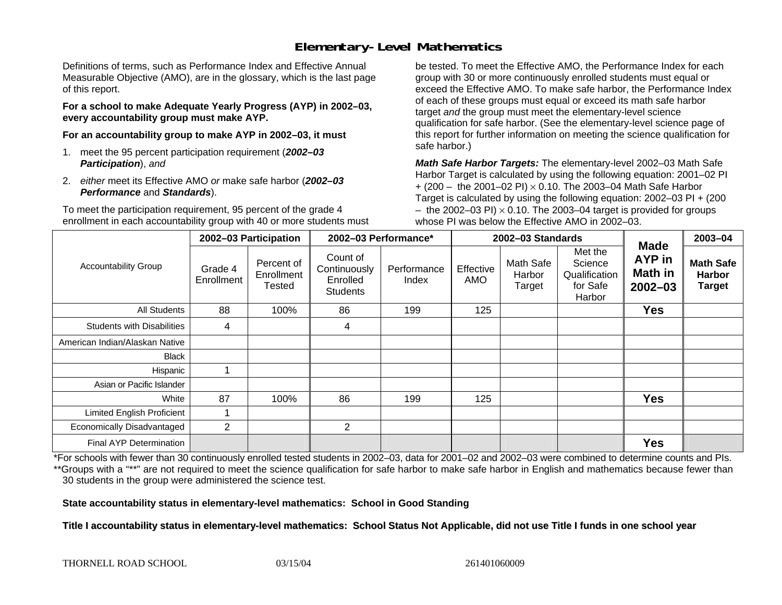# **Elementary-Level Mathematics**

Definitions of terms, such as Performance Index and Effective Annual Measurable Objective (AMO), are in the glossary, which is the last page of this report.

**For a school to make Adequate Yearly Progress (AYP) in 2002–03, every accountability group must make AYP.** 

**For an accountability group to make AYP in 2002–03, it must** 

- 1. meet the 95 percent participation requirement (*2002–03 Participation*), *and*
- 2. *either* meet its Effective AMO *or* make safe harbor (*2002–03 Performance* and *Standards*).

To meet the participation requirement, 95 percent of the grade 4 enrollment in each accountability group with 40 or more students must

be tested. To meet the Effective AMO, the Performance Index for each group with 30 or more continuously enrolled students must equal or exceed the Effective AMO. To make safe harbor, the Performance Index of each of these groups must equal or exceed its math safe harbor target *and* the group must meet the elementary-level science qualification for safe harbor. (See the elementary-level science page of this report for further information on meeting the science qualification for safe harbor.)

*Math Safe Harbor Targets:* The elementary-level 2002–03 Math Safe Harbor Target is calculated by using the following equation: 2001–02 PI + (200 – the 2001–02 PI) × 0.10. The 2003–04 Math Safe Harbor Target is calculated by using the following equation: 2002–03 PI + (200  $-$  the 2002–03 PI)  $\times$  0.10. The 2003–04 target is provided for groups whose PI was below the Effective AMO in 2002–03.

| <b>Accountability Group</b>       | 2002-03 Participation |                                    | 2002-03 Performance*                                    |                      | 2002-03 Standards |                               |                                                           |                                                               | 2003-04                                            |
|-----------------------------------|-----------------------|------------------------------------|---------------------------------------------------------|----------------------|-------------------|-------------------------------|-----------------------------------------------------------|---------------------------------------------------------------|----------------------------------------------------|
|                                   | Grade 4<br>Enrollment | Percent of<br>Enrollment<br>Tested | Count of<br>Continuously<br>Enrolled<br><b>Students</b> | Performance<br>Index | Effective<br>AMO  | Math Safe<br>Harbor<br>Target | Met the<br>Science<br>Qualification<br>for Safe<br>Harbor | <b>Made</b><br><b>AYP</b> in<br><b>Math in</b><br>$2002 - 03$ | <b>Math Safe</b><br><b>Harbor</b><br><b>Target</b> |
| All Students                      | 88                    | 100%                               | 86                                                      | 199                  | 125               |                               |                                                           | <b>Yes</b>                                                    |                                                    |
| <b>Students with Disabilities</b> | 4                     |                                    | 4                                                       |                      |                   |                               |                                                           |                                                               |                                                    |
| American Indian/Alaskan Native    |                       |                                    |                                                         |                      |                   |                               |                                                           |                                                               |                                                    |
| <b>Black</b>                      |                       |                                    |                                                         |                      |                   |                               |                                                           |                                                               |                                                    |
| Hispanic                          |                       |                                    |                                                         |                      |                   |                               |                                                           |                                                               |                                                    |
| Asian or Pacific Islander         |                       |                                    |                                                         |                      |                   |                               |                                                           |                                                               |                                                    |
| White                             | 87                    | 100%                               | 86                                                      | 199                  | 125               |                               |                                                           | <b>Yes</b>                                                    |                                                    |
| <b>Limited English Proficient</b> |                       |                                    |                                                         |                      |                   |                               |                                                           |                                                               |                                                    |
| Economically Disadvantaged        | $\overline{2}$        |                                    | $\overline{2}$                                          |                      |                   |                               |                                                           |                                                               |                                                    |
| <b>Final AYP Determination</b>    |                       |                                    |                                                         |                      |                   |                               |                                                           | <b>Yes</b>                                                    |                                                    |

\*For schools with fewer than 30 continuously enrolled tested students in 2002–03, data for 2001–02 and 2002–03 were combined to determine counts and PIs. \*\*Groups with a "\*\*" are not required to meet the science qualification for safe harbor to make safe harbor in English and mathematics because fewer than 30 students in the group were administered the science test.

**State accountability status in elementary-level mathematics: School in Good Standing** 

Title I accountability status in elementary-level mathematics: School Status Not Applicable, did not use Title I funds in one school year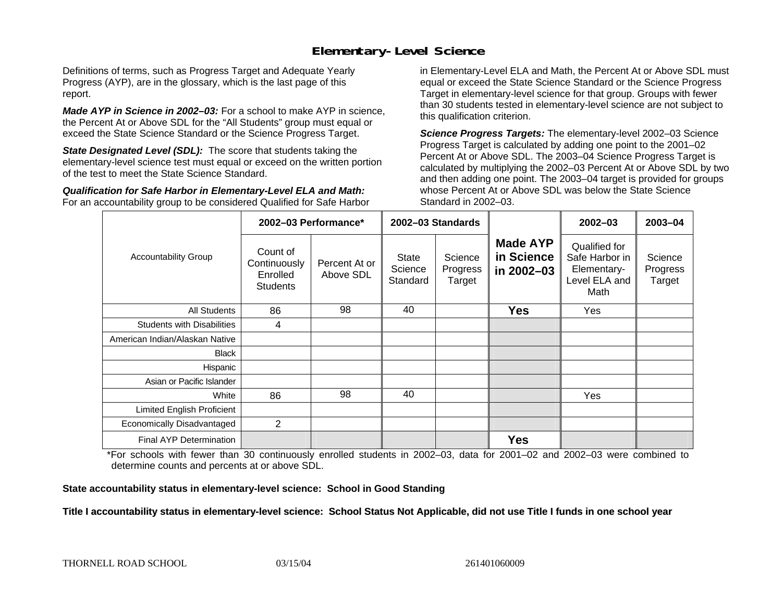### **Elementary-Level Science**

Definitions of terms, such as Progress Target and Adequate Yearly Progress (AYP), are in the glossary, which is the last page of this report.

*Made AYP in Science in 2002–03:* For a school to make AYP in science, the Percent At or Above SDL for the "All Students" group must equal or exceed the State Science Standard or the Science Progress Target.

**State Designated Level (SDL):** The score that students taking the elementary-level science test must equal or exceed on the written portion of the test to meet the State Science Standard.

*Qualification for Safe Harbor in Elementary-Level ELA and Math:* For an accountability group to be considered Qualified for Safe Harbor in Elementary-Level ELA and Math, the Percent At or Above SDL must equal or exceed the State Science Standard or the Science Progress Target in elementary-level science for that group. Groups with fewer than 30 students tested in elementary-level science are not subject to this qualification criterion.

*Science Progress Targets:* The elementary-level 2002–03 Science Progress Target is calculated by adding one point to the 2001–02 Percent At or Above SDL. The 2003–04 Science Progress Target is calculated by multiplying the 2002–03 Percent At or Above SDL by two and then adding one point. The 2003–04 target is provided for groups whose Percent At or Above SDL was below the State Science Standard in 2002–03.

|                                   | 2002-03 Performance*                                    |                            | 2002-03 Standards                   |                               |                                             | $2002 - 03$                                                             | $2003 - 04$                   |
|-----------------------------------|---------------------------------------------------------|----------------------------|-------------------------------------|-------------------------------|---------------------------------------------|-------------------------------------------------------------------------|-------------------------------|
| <b>Accountability Group</b>       | Count of<br>Continuously<br>Enrolled<br><b>Students</b> | Percent At or<br>Above SDL | <b>State</b><br>Science<br>Standard | Science<br>Progress<br>Target | <b>Made AYP</b><br>in Science<br>in 2002-03 | Qualified for<br>Safe Harbor in<br>Elementary-<br>Level ELA and<br>Math | Science<br>Progress<br>Target |
| All Students                      | 86                                                      | 98                         | 40                                  |                               | <b>Yes</b>                                  | Yes                                                                     |                               |
| <b>Students with Disabilities</b> | 4                                                       |                            |                                     |                               |                                             |                                                                         |                               |
| American Indian/Alaskan Native    |                                                         |                            |                                     |                               |                                             |                                                                         |                               |
| <b>Black</b>                      |                                                         |                            |                                     |                               |                                             |                                                                         |                               |
| Hispanic                          |                                                         |                            |                                     |                               |                                             |                                                                         |                               |
| Asian or Pacific Islander         |                                                         |                            |                                     |                               |                                             |                                                                         |                               |
| White                             | 86                                                      | 98                         | 40                                  |                               |                                             | Yes                                                                     |                               |
| Limited English Proficient        |                                                         |                            |                                     |                               |                                             |                                                                         |                               |
| Economically Disadvantaged        | $\overline{2}$                                          |                            |                                     |                               |                                             |                                                                         |                               |
| <b>Final AYP Determination</b>    |                                                         |                            |                                     |                               | <b>Yes</b>                                  |                                                                         |                               |

\*For schools with fewer than 30 continuously enrolled students in 2002–03, data for 2001–02 and 2002–03 were combined to determine counts and percents at or above SDL.

#### **State accountability status in elementary-level science: School in Good Standing**

#### Title I accountability status in elementary-level science: School Status Not Applicable, did not use Title I funds in one school year